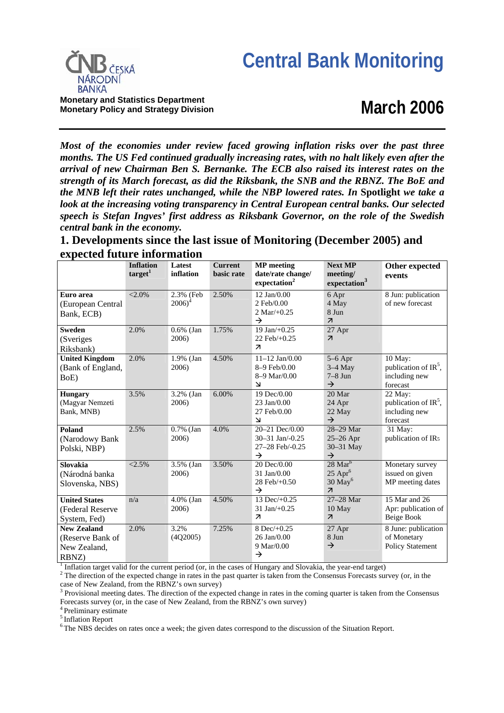

**Monetary and Statistics Department Monetary Policy and Strategy Division**

# **March 2006**

*Most of the economies under review faced growing inflation risks over the past three months. The US Fed continued gradually increasing rates, with no halt likely even after the arrival of new Chairman Ben S. Bernanke. The ECB also raised its interest rates on the strength of its March forecast, as did the Riksbank, the SNB and the RBNZ. The BoE and the MNB left their rates unchanged, while the NBP lowered rates. In* **Spotlight** *we take a look at the increasing voting transparency in Central European central banks. Our selected speech is Stefan Ingves' first address as Riksbank Governor, on the role of the Swedish central bank in the economy.* 

**1. Developments since the last issue of Monitoring (December 2005) and expected future information**

|                                                                 | <b>Inflation</b><br>target <sup>1</sup> | Latest<br>inflation            | <b>Current</b><br>basic rate | <b>MP</b> meeting<br>date/rate change/<br>expectation <sup>2</sup>            | <b>Next MP</b><br>meeting/<br>expectation <sup>3</sup>                                          | Other expected<br>events                                        |
|-----------------------------------------------------------------|-----------------------------------------|--------------------------------|------------------------------|-------------------------------------------------------------------------------|-------------------------------------------------------------------------------------------------|-----------------------------------------------------------------|
| Euro area<br>(European Central<br>Bank, ECB)                    | $< 2.0\%$                               | 2.3% (Feb<br>2006 <sup>4</sup> | 2.50%                        | $12$ Jan $/0.00$<br>2 Feb/0.00<br>$2 \text{ Mar}/+0.25$<br>$\rightarrow$      | 6 Apr<br>4 May<br>8 Jun<br>$\overline{\mathcal{A}}$                                             | 8 Jun: publication<br>of new forecast                           |
| <b>Sweden</b><br>(Sveriges<br>Riksbank)                         | 2.0%                                    | $0.6\%$ (Jan<br>2006)          | 1.75%                        | 19 Jan/+0.25<br>22 Feb/+0.25<br>$\overline{z}$                                | 27 Apr<br>$\overline{\mathcal{A}}$                                                              |                                                                 |
| <b>United Kingdom</b><br>(Bank of England,<br>BoE)              | 2.0%                                    | 1.9% (Jan<br>2006)             | 4.50%                        | $11 - 12$ Jan/0.00<br>8-9 Feb/0.00<br>8-9 Mar/0.00<br>$\overline{\mathsf{M}}$ | $5-6$ Apr<br>$3-4$ May<br>$7-8$ Jun<br>→                                                        | 10 May:<br>publication of $IR^5$ ,<br>including new<br>forecast |
| <b>Hungary</b><br>(Magyar Nemzeti<br>Bank, MNB)                 | 3.5%                                    | 3.2% (Jan<br>2006)             | 6.00%                        | 19 Dec/0.00<br>23 Jan/0.00<br>27 Feb/0.00<br>$\overline{\mathsf{M}}$          | 20 Mar<br>24 Apr<br>22 May<br>$\rightarrow$                                                     | 22 May:<br>publication of $IR^5$ ,<br>including new<br>forecast |
| Poland<br>(Narodowy Bank<br>Polski, NBP)                        | 2.5%                                    | 0.7% (Jan<br>2006)             | 4.0%                         | 20-21 Dec/0.00<br>30-31 Jan/-0.25<br>27-28 Feb/-0.25<br>$\rightarrow$         | 28-29 Mar<br>25-26 Apr<br>30-31 May<br>$\rightarrow$                                            | 31 May:<br>publication of IR <sub>5</sub>                       |
| Slovakia<br>(Národná banka<br>Slovenska, NBS)                   | <2.5%                                   | 3.5% (Jan<br>2006)             | 3.50%                        | 20 Dec/0.00<br>31 Jan/0.00<br>28 Feb/+0.50<br>$\rightarrow$                   | $28 \text{ Mar}^6$<br>$25$ Apr <sup>6</sup><br>$30$ May <sup>6</sup><br>$\overline{\mathbf{z}}$ | Monetary survey<br>issued on given<br>MP meeting dates          |
| <b>United States</b><br>(Federal Reserve<br>System, Fed)        | n/a                                     | 4.0% (Jan<br>2006)             | 4.50%                        | 13 Dec/ $+0.25$<br>31 Jan/+0.25<br>$\overline{\mathcal{A}}$                   | 27-28 Mar<br>10 May<br>$\overline{\mathcal{A}}$                                                 | 15 Mar and 26<br>Apr: publication of<br>Beige Book              |
| <b>New Zealand</b><br>(Reserve Bank of<br>New Zealand,<br>RBNZ) | 2.0%                                    | 3.2%<br>(4Q2005)               | 7.25%                        | 8 $Dec/+0.25$<br>26 Jan/0.00<br>9 Mar/0.00<br>→                               | 27 Apr<br>8 Jun<br>$\rightarrow$                                                                | 8 June: publication<br>of Monetary<br><b>Policy Statement</b>   |

<sup>1</sup> Inflation target valid for the current period (or, in the cases of Hungary and Slovakia, the year-end target)  $2 \text{ The direction of the expected change in rate in the next question from the Conconaux Forceats curve.}$ 

<sup>2</sup> The direction of the expected change in rates in the past quarter is taken from the Consensus Forecasts survey (or, in the

case of New Zealand, from the RBNZ's own survey)<br><sup>3</sup> Provisional meeting dates. The direction of the expected change in rates in the coming quarter is taken from the Consensus Forecasts survey (or, in the case of New Zealand, from the RBNZ's own survey)

4 Preliminary estimate

5 Inflation Report

6 The NBS decides on rates once a week; the given dates correspond to the discussion of the Situation Report.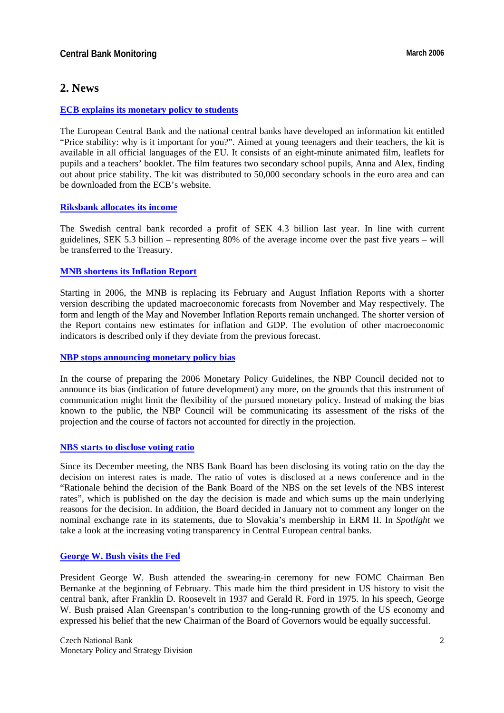## **2. News**

## **[ECB explains its monetary policy to students](http://www.ecb.int/press/pr/date/2005/html/pr051212.en.html)**

The European Central Bank and the national central banks have developed an information kit entitled "Price stability: why is it important for you?". Aimed at young teenagers and their teachers, the kit is available in all official languages of the EU. It consists of an eight-minute animated film, leaflets for pupils and a teachers' booklet. The film features two secondary school pupils, Anna and Alex, finding out about price stability. The kit was distributed to 50,000 secondary schools in the euro area and can be downloaded from the ECB's website.

## **[Riksbank allocates its income](http://www.riksbank.com/templates/Page.aspx?id=20414)**

The Swedish central bank recorded a profit of SEK 4.3 billion last year. In line with current guidelines, SEK 5.3 billion – representing 80% of the average income over the past five years – will be transferred to the Treasury.

## **[MNB shortens its Inflation Report](http://english.mnb.hu/Engine.aspx?page=mnben_infrep_en&ContentID=7781)**

Starting in 2006, the MNB is replacing its February and August Inflation Reports with a shorter version describing the updated macroeconomic forecasts from November and May respectively. The form and length of the May and November Inflation Reports remain unchanged. The shorter version of the Report contains new estimates for inflation and GDP. The evolution of other macroeconomic indicators is described only if they deviate from the previous forecast.

#### **[NBP stops announcing monetary policy bias](http://www.nbp.pl/en/publikacje/raport_inflacja/iraport_january2006.pdf)**

In the course of preparing the 2006 Monetary Policy Guidelines, the NBP Council decided not to announce its bias (indication of future development) any more, on the grounds that this instrument of communication might limit the flexibility of the pursued monetary policy. Instead of making the bias known to the public, the NBP Council will be communicating its assessment of the risks of the projection and the course of factors not accounted for directly in the projection.

## **[NBS starts to disclose voting ratio](http://www.nbs.sk/PRESS/PR060228_1.HTM)**

Since its December meeting, the NBS Bank Board has been disclosing its voting ratio on the day the decision on interest rates is made. The ratio of votes is disclosed at a news conference and in the "Rationale behind the decision of the Bank Board of the NBS on the set levels of the NBS interest rates", which is published on the day the decision is made and which sums up the main underlying reasons for the decision. In addition, the Board decided in January not to comment any longer on the nominal exchange rate in its statements, due to Slovakia's membership in ERM II. In *Spotlight* we take a look at the increasing voting transparency in Central European central banks.

## **[George W. Bush visits the Fed](http://www.whitehouse.gov/news/releases/2006/02/20060206.html)**

President George W. Bush attended the swearing-in ceremony for new FOMC Chairman Ben Bernanke at the beginning of February. This made him the third president in US history to visit the central bank, after Franklin D. Roosevelt in 1937 and Gerald R. Ford in 1975. In his speech, George W. Bush praised Alan Greenspan's contribution to the long-running growth of the US economy and expressed his belief that the new Chairman of the Board of Governors would be equally successful.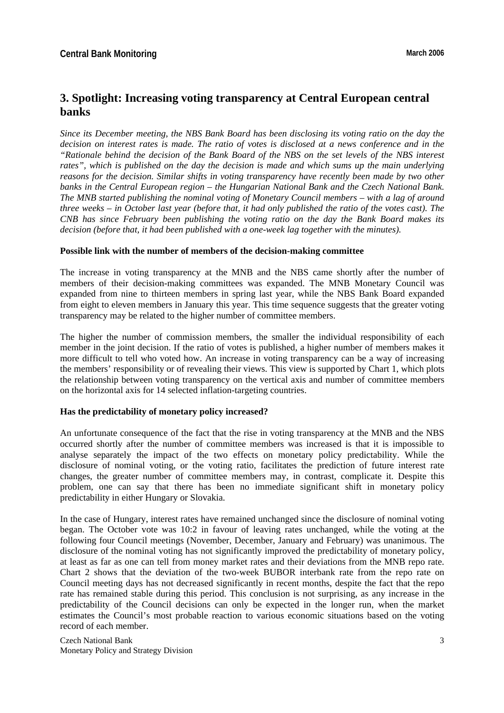# **3. Spotlight: Increasing voting transparency at Central European central banks**

*Since its December meeting, the NBS Bank Board has been disclosing its voting ratio on the day the decision on interest rates is made. The ratio of votes is disclosed at a news conference and in the "Rationale behind the decision of the Bank Board of the NBS on the set levels of the NBS interest rates", which is published on the day the decision is made and which sums up the main underlying reasons for the decision. Similar shifts in voting transparency have recently been made by two other banks in the Central European region – the Hungarian National Bank and the Czech National Bank. The MNB started publishing the nominal voting of Monetary Council members – with a lag of around three weeks – in October last year (before that, it had only published the ratio of the votes cast). The CNB has since February been publishing the voting ratio on the day the Bank Board makes its decision (before that, it had been published with a one-week lag together with the minutes).*

#### **Possible link with the number of members of the decision-making committee**

The increase in voting transparency at the MNB and the NBS came shortly after the number of members of their decision-making committees was expanded. The MNB Monetary Council was expanded from nine to thirteen members in spring last year, while the NBS Bank Board expanded from eight to eleven members in January this year. This time sequence suggests that the greater voting transparency may be related to the higher number of committee members.

The higher the number of commission members, the smaller the individual responsibility of each member in the joint decision. If the ratio of votes is published, a higher number of members makes it more difficult to tell who voted how. An increase in voting transparency can be a way of increasing the members' responsibility or of revealing their views. This view is supported by Chart 1, which plots the relationship between voting transparency on the vertical axis and number of committee members on the horizontal axis for 14 selected inflation-targeting countries.

#### **Has the predictability of monetary policy increased?**

An unfortunate consequence of the fact that the rise in voting transparency at the MNB and the NBS occurred shortly after the number of committee members was increased is that it is impossible to analyse separately the impact of the two effects on monetary policy predictability. While the disclosure of nominal voting, or the voting ratio, facilitates the prediction of future interest rate changes, the greater number of committee members may, in contrast, complicate it. Despite this problem, one can say that there has been no immediate significant shift in monetary policy predictability in either Hungary or Slovakia.

In the case of Hungary, interest rates have remained unchanged since the disclosure of nominal voting began. The October vote was 10:2 in favour of leaving rates unchanged, while the voting at the following four Council meetings (November, December, January and February) was unanimous. The disclosure of the nominal voting has not significantly improved the predictability of monetary policy, at least as far as one can tell from money market rates and their deviations from the MNB repo rate. Chart 2 shows that the deviation of the two-week BUBOR interbank rate from the repo rate on Council meeting days has not decreased significantly in recent months, despite the fact that the repo rate has remained stable during this period. This conclusion is not surprising, as any increase in the predictability of the Council decisions can only be expected in the longer run, when the market estimates the Council's most probable reaction to various economic situations based on the voting record of each member.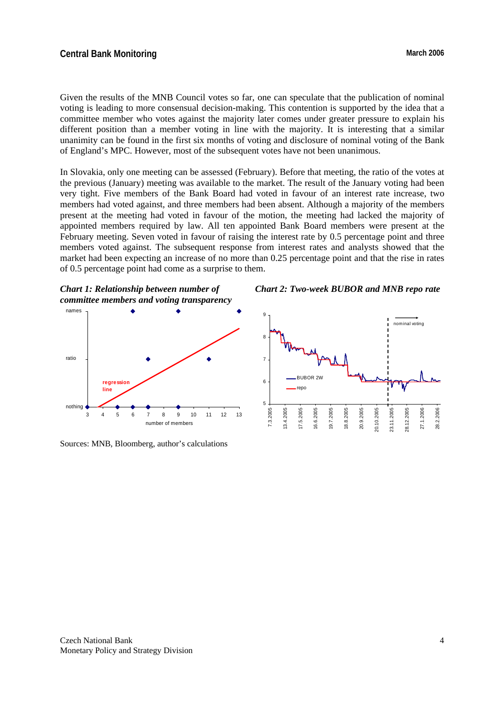## **Central Bank Monitoring March 2006** March 2006

Given the results of the MNB Council votes so far, one can speculate that the publication of nominal voting is leading to more consensual decision-making. This contention is supported by the idea that a committee member who votes against the majority later comes under greater pressure to explain his different position than a member voting in line with the majority. It is interesting that a similar unanimity can be found in the first six months of voting and disclosure of nominal voting of the Bank of England's MPC. However, most of the subsequent votes have not been unanimous.

In Slovakia, only one meeting can be assessed (February). Before that meeting, the ratio of the votes at the previous (January) meeting was available to the market. The result of the January voting had been very tight. Five members of the Bank Board had voted in favour of an interest rate increase, two members had voted against, and three members had been absent. Although a majority of the members present at the meeting had voted in favour of the motion, the meeting had lacked the majority of appointed members required by law. All ten appointed Bank Board members were present at the February meeting. Seven voted in favour of raising the interest rate by 0.5 percentage point and three members voted against. The subsequent response from interest rates and analysts showed that the market had been expecting an increase of no more than 0.25 percentage point and that the rise in rates of 0.5 percentage point had come as a surprise to them.



*Chart 2: Two-week BUBOR and MNB repo rate*



Sources: MNB, Bloomberg, author's calculations